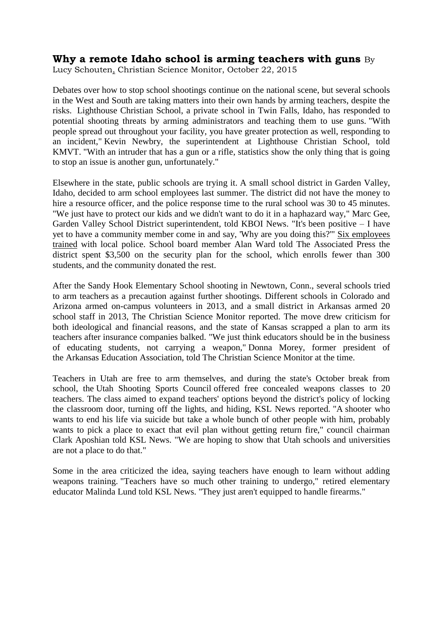## **Why a remote Idaho school is arming teachers with guns** By

[Lucy Schouten,](http://www.csmonitor.com/USA/USA-Update/2015/1022/Why-a-remote-Idaho-school-is-arming-teachers-with-guns) Christian Science Monitor, October 22, 2015

Debates over how to stop school shootings continue on the national scene, but several schools in the West and South are taking matters into their own hands by arming teachers, despite the risks. Lighthouse Christian School, a private school in Twin Falls, Idaho, has [responded to](http://www.kmvt.com/content/news/How-do-school-districts-feel-about-guns-in-schools-334848431.html)  [potential shooting threats](http://www.kmvt.com/content/news/How-do-school-districts-feel-about-guns-in-schools-334848431.html) by arming administrators and teaching them to use guns. "With people spread out throughout your facility, you have greater protection as well, responding to an incident," Kevin Newbry, the superintendent at Lighthouse Christian School, told KMVT. "With an intruder that has a gun or a rifle, statistics show the only thing that is going to stop an issue is another gun, unfortunately."

Elsewhere in the state, public schools are trying it. A small school district in Garden Valley, Idaho, [decided to arm school employees](http://www.kboi2.com/news/local/Garden-Valley-School-District-Guns-Rifles-305487721.html) last summer. The district did not have the money to hire a resource officer, and the police response time to the rural school was 30 to 45 minutes. "We just have to protect our kids and we didn't want to do it in a haphazard way," Marc Gee, Garden Valley School District superintendent, told KBOI News. "It's been positive – I have yet to have a community member come in and say, 'Why are you doing this?'" [Six employees](http://www.washingtontimes.com/news/2015/jun/6/remote-idaho-school-buys-guns-to-enhance-safety/)  [trained](http://www.washingtontimes.com/news/2015/jun/6/remote-idaho-school-buys-guns-to-enhance-safety/) with local police. School board member Alan Ward told The Associated Press the district spent \$3,500 on the security plan for the school, which enrolls fewer than 300 students, and the community donated the rest.

After the Sandy Hook Elementary School shooting in Newtown, Conn., several [schools tried](http://www.csmonitor.com/USA/USA-Update/2013/0730/Guns-in-schools-Arkansas-district-will-arm-20-teachers-and-staff)  [to arm teachers](http://www.csmonitor.com/USA/USA-Update/2013/0730/Guns-in-schools-Arkansas-district-will-arm-20-teachers-and-staff) as a precaution against further shootings. Different schools in Colorado and Arizona armed on-campus volunteers in 2013, and a small district in Arkansas armed 20 school staff in 2013, The Christian Science Monitor reported. The move drew criticism for both ideological and financial reasons, and the state of Kansas scrapped a plan to arm its teachers after insurance companies balked. "We just think educators should be in the business of educating students, not carrying a weapon," Donna Morey, former president of the [Arkansas Education Association,](http://www.csmonitor.com/tags/topic/Arkansas+Education+Association) told The Christian Science Monitor at the time.

Teachers in Utah are free to arm themselves, and during the state's October break from school, the Utah Shooting Sports Council [offered free concealed weapons classes](https://ksl.com/?sid=36982507&nid=148&title=teachers-treated-to-free-concealed-weapons-class-on-uea-break&s_cid=queue-3) to 20 teachers. The class aimed to expand teachers' options beyond the district's policy of locking the classroom door, turning off the lights, and hiding, KSL News reported. "A shooter who wants to end his life via suicide but take a whole bunch of other people with him, probably wants to pick a place to exact that evil plan without getting return fire," council chairman Clark Aposhian told KSL News. "We are hoping to show that Utah schools and universities are not a place to do that."

Some in the area criticized the idea, saying teachers have enough to learn without adding weapons training. "Teachers have so much other training to undergo," retired elementary educator Malinda Lund told KSL News. "They just aren't equipped to handle firearms."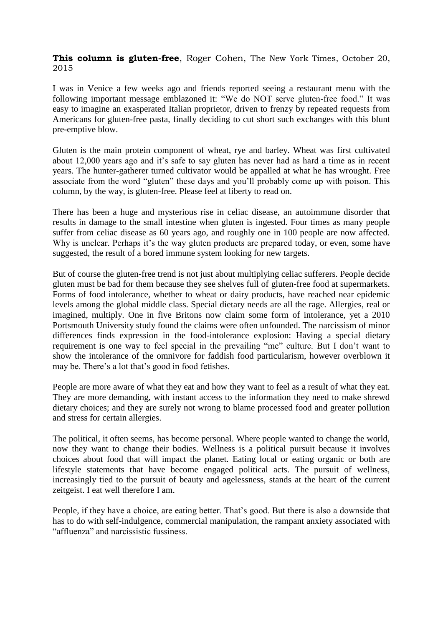**This column is gluten-free**, Roger Cohen, The New York Times, October 20, 2015

I was in Venice a few weeks ago and friends reported seeing a restaurant menu with the following important message emblazoned it: "We do NOT serve gluten-free food." It was easy to imagine an exasperated Italian proprietor, driven to frenzy by repeated requests from Americans for gluten-free pasta, finally deciding to cut short such exchanges with this blunt pre-emptive blow.

Gluten is the main protein component of wheat, rye and barley. Wheat was first cultivated about 12,000 years ago and it's safe to say gluten has never had as hard a time as in recent years. The hunter-gatherer turned cultivator would be appalled at what he has wrought. Free associate from the word "gluten" these days and you'll probably come up with poison. This column, by the way, is gluten-free. Please feel at liberty to read on.

There has been a huge and mysterious rise in celiac disease, an autoimmune disorder that results in damage to the small intestine when gluten is ingested. Four times as many people suffer from celiac disease as 60 years ago, and roughly one in 100 people are now affected. Why is unclear. Perhaps it's the way gluten products are prepared today, or even, some have suggested, the result of a bored immune system looking for new targets.

But of course the gluten-free trend is not just about multiplying celiac sufferers. People decide gluten must be bad for them because they see shelves full of gluten-free food at supermarkets. Forms of food intolerance, whether to wheat or dairy products, have reached near epidemic levels among the global middle class. Special dietary needs are all the rage. Allergies, real or imagined, multiply. One in five Britons now claim some form of intolerance, yet a 2010 Portsmouth University study found the claims were often unfounded. The narcissism of minor differences finds expression in the food-intolerance explosion: Having a special dietary requirement is one way to feel special in the prevailing "me" culture. But I don't want to show the intolerance of the omnivore for faddish food particularism, however overblown it may be. There's a lot that's good in food fetishes.

People are more aware of what they eat and how they want to feel as a result of what they eat. They are more demanding, with instant access to the information they need to make shrewd dietary choices; and they are surely not wrong to blame processed food and greater pollution and stress for certain allergies.

The political, it often seems, has become personal. Where people wanted to change the world, now they want to change their bodies. Wellness is a political pursuit because it involves choices about food that will impact the planet. Eating local or eating organic or both are lifestyle statements that have become engaged political acts. The pursuit of wellness, increasingly tied to the pursuit of beauty and agelessness, stands at the heart of the current zeitgeist. I eat well therefore I am.

People, if they have a choice, are eating better. That's good. But there is also a downside that has to do with self-indulgence, commercial manipulation, the rampant anxiety associated with "affluenza" and narcissistic fussiness.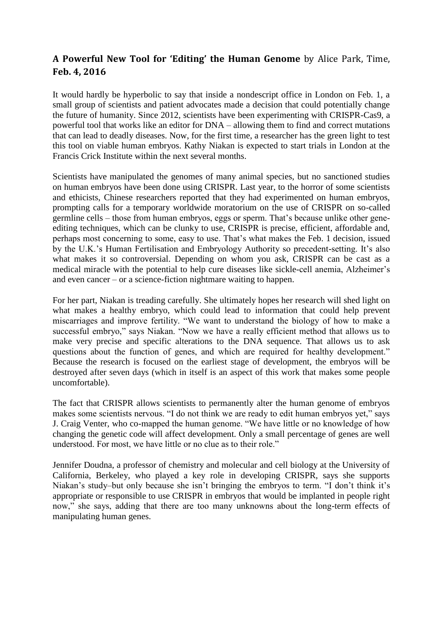## **A Powerful New Tool for 'Editing' the Human Genome** by Alice Park, Time, **Feb. 4, 2016**

It would hardly be hyperbolic to say that inside a nondescript office in London on Feb. 1, a small group of scientists and patient advocates made a decision that could potentially change the future of humanity. Since 2012, scientists have been experimenting with CRISPR-Cas9, a powerful tool that works like an editor for DNA – allowing them to find and correct mutations that can lead to deadly diseases. Now, for the first time, a researcher has the green light to test this tool on viable human embryos. Kathy Niakan is expected to start trials in London at the Francis Crick Institute within the next several months.

Scientists have manipulated the genomes of many animal species, but no sanctioned studies on human embryos have been done using CRISPR. Last year, to the horror of some scientists and ethicists, Chinese researchers reported that they had experimented on human embryos, prompting calls for a temporary worldwide moratorium on the use of CRISPR on so-called germline cells – those from human embryos, eggs or sperm. That's because unlike other geneediting techniques, which can be clunky to use, CRISPR is precise, efficient, affordable and, perhaps most concerning to some, easy to use. That's what makes the Feb. 1 decision, issued by the U.K.'s Human Fertilisation and Embryology Authority so precedent-setting. It's also what makes it so controversial. Depending on whom you ask, CRISPR can be cast as a medical miracle with the potential to help cure diseases like sickle-cell anemia, Alzheimer's and even cancer – or a science-fiction nightmare waiting to happen.

For her part, Niakan is treading carefully. She ultimately hopes her research will shed light on what makes a healthy embryo, which could lead to information that could help prevent miscarriages and improve fertility. "We want to understand the biology of how to make a successful embryo," says Niakan. "Now we have a really efficient method that allows us to make very precise and specific alterations to the DNA sequence. That allows us to ask questions about the function of genes, and which are required for healthy development." Because the research is focused on the earliest stage of development, the embryos will be destroyed after seven days (which in itself is an aspect of this work that makes some people uncomfortable).

The fact that CRISPR allows scientists to permanently alter the human genome of embryos makes some scientists nervous. "I do not think we are ready to edit human embryos yet," says J. Craig Venter, who co-mapped the human genome. "We have little or no knowledge of how changing the genetic code will affect development. Only a small percentage of genes are well understood. For most, we have little or no clue as to their role."

Jennifer Doudna, a professor of chemistry and molecular and cell biology at the University of California, Berkeley, who played a key role in developing CRISPR, says she supports Niakan's study–but only because she isn't bringing the embryos to term. "I don't think it's appropriate or responsible to use CRISPR in embryos that would be implanted in people right now," she says, adding that there are too many unknowns about the long-term effects of manipulating human genes.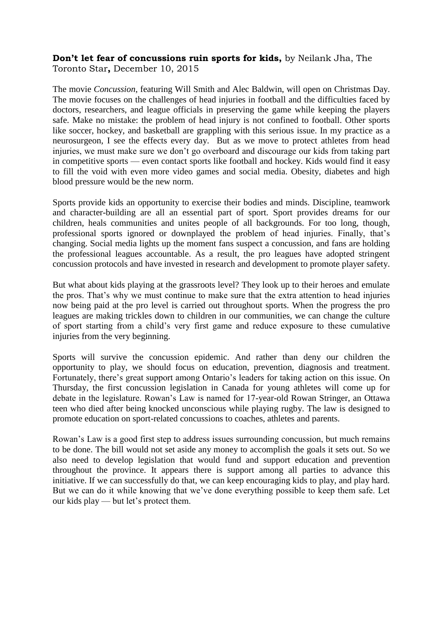## **Don't let fear of concussions ruin sports for kids,** by Neilank Jha, The Toronto Star**,** December 10, 2015

The movie *Concussion*, featuring Will Smith and Alec Baldwin, will open on Christmas Day. The movie focuses on the challenges of head injuries in football and the difficulties faced by doctors, researchers, and league officials in preserving the game while keeping the players safe. Make no mistake: the problem of head injury is not confined to football. Other sports like soccer, hockey, and basketball are grappling with this serious issue. In my practice as a neurosurgeon, I see the effects every day. But as we move to protect athletes from head injuries, we must make sure we don't go overboard and discourage our kids from taking part in competitive sports — even contact sports like football and hockey. Kids would find it easy to fill the void with even more video games and social media. Obesity, diabetes and high blood pressure would be the new norm.

Sports provide kids an opportunity to exercise their bodies and minds. Discipline, teamwork and character-building are all an essential part of sport. Sport provides dreams for our children, heals communities and unites people of all backgrounds. For too long, though, professional sports ignored or downplayed the problem of head injuries. Finally, that's changing. Social media lights up the moment fans suspect a concussion, and fans are holding the professional leagues accountable. As a result, the pro leagues have adopted stringent concussion protocols and have invested in research and development to promote player safety.

But what about kids playing at the grassroots level? They look up to their heroes and emulate the pros. That's why we must continue to make sure that the extra attention to head injuries now being paid at the pro level is carried out throughout sports. When the progress the pro leagues are making trickles down to children in our communities, we can change the culture of sport starting from a child's very first game and reduce exposure to these cumulative injuries from the very beginning.

Sports will survive the concussion epidemic. And rather than deny our children the opportunity to play, we should focus on education, prevention, diagnosis and treatment. Fortunately, there's great support among Ontario's leaders for taking action on this issue. On Thursday, the first concussion legislation in Canada for young athletes will come up for debate in the legislature. Rowan's Law is named for 17-year-old Rowan Stringer, an Ottawa teen who died after being knocked unconscious while playing rugby. The law is designed to promote education on sport-related concussions to coaches, athletes and parents.

Rowan's Law is a good first step to address issues surrounding concussion, but much remains to be done. The bill would not set aside any money to accomplish the goals it sets out. So we also need to develop legislation that would fund and support education and prevention throughout the province. It appears there is support among all parties to advance this initiative. If we can successfully do that, we can keep encouraging kids to play, and play hard. But we can do it while knowing that we've done everything possible to keep them safe. Let our kids play — but let's protect them.